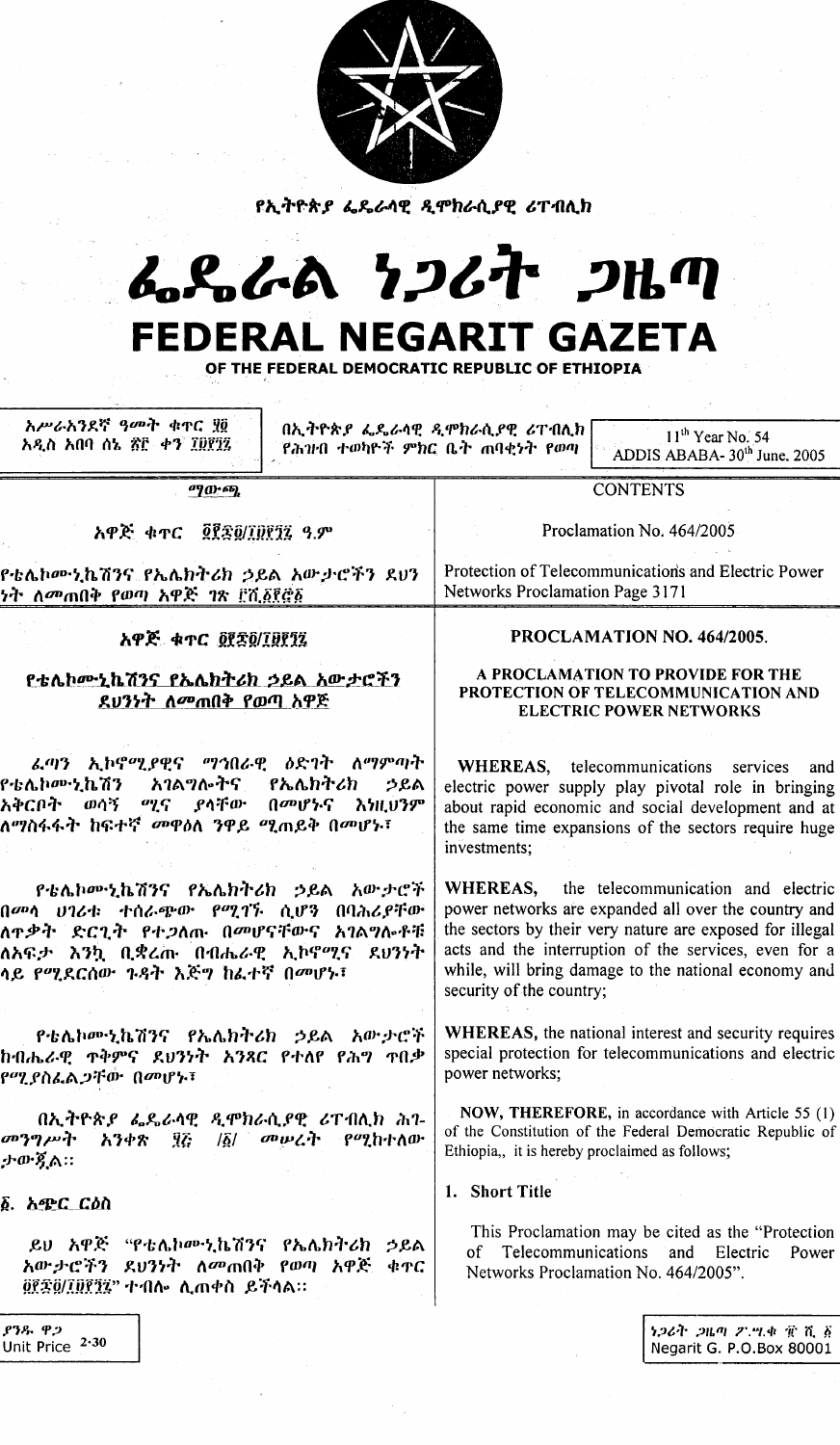| <i>የኢትዮጵያ ፌዴራላዊ ዲሞክራሲያዊ ሪ</i> ፐብሊክ                                                                                                                                                                      |                                                                                                                                                                                                                                                                                                                      |                                                               |
|---------------------------------------------------------------------------------------------------------------------------------------------------------------------------------------------------------|----------------------------------------------------------------------------------------------------------------------------------------------------------------------------------------------------------------------------------------------------------------------------------------------------------------------|---------------------------------------------------------------|
| んぺんめ りつんれ つルの                                                                                                                                                                                           |                                                                                                                                                                                                                                                                                                                      |                                                               |
| <b>FEDERAL NEGARIT GAZETA</b><br>OF THE FEDERAL DEMOCRATIC REPUBLIC OF ETHIOPIA                                                                                                                         |                                                                                                                                                                                                                                                                                                                      |                                                               |
| አሥራአንደኛ ዓመት ቁጥር ሂ፬<br>አዲስ አበባ ሰኔ ጽ፫ ቀን ፲፱፻፺፯                                                                                                                                                            | በኢትዮጵያ ፌዴራሳዊ ዲሞክራሲያዊ ሪፐብሊክ<br>የሕዝብ ተወካዮች ምክር ቤት ጠባቂነት የወጣ                                                                                                                                                                                                                                                            | $11th$ Year No. 54<br>ADDIS ABABA-30 <sup>th</sup> June, 2005 |
| <sup>ወ</sup> ንው ጫ                                                                                                                                                                                       | <b>CONTENTS</b>                                                                                                                                                                                                                                                                                                      |                                                               |
|                                                                                                                                                                                                         | Proclamation No. 464/2005                                                                                                                                                                                                                                                                                            |                                                               |
| የቴሌኮሙኒኬሽንና የኤሌክትሪክ ኃይል አውታሮችን ደህን<br><i>ነት ለመ</i> ጠበቅ የወጣ አዋጅ <i>ገ</i> ጽ ይሽ <i>δ</i> ደኞδ                                                                                                                | Protection of Telecommunications and Electric Power<br>Networks Proclamation Page 3171                                                                                                                                                                                                                               |                                                               |
| አዋጅ ቁጥር ፬፻፰፬/፲፱፻፺፯                                                                                                                                                                                      | PROCLAMATION NO. 464/2005.                                                                                                                                                                                                                                                                                           |                                                               |
| <u>የቴሌኮሙኒኬሽንና የኤሌክትሪክ ኃይል አውታሮችን</u><br>ደሀንነት ለመጠበቅ የወጣ አዋጅ                                                                                                                                             | A PROCLAMATION TO PROVIDE FOR THE<br>PROTECTION OF TELECOMMUNICATION AND<br><b>ELECTRIC POWER NETWORKS</b>                                                                                                                                                                                                           |                                                               |
| ፌጣን ኢኮኖሚያዊና ማኅበራዊ ዕድገት ለማምጣት<br>የቴሌኮሙኒኬሽን አገልግሎትና የኤሌክትሪክ<br>ኃይል<br>አቅርቦት ወሳኝ ሚና ያላቸው በመሆኑና እነዚህንም<br>ለማስፋፋት ከፍተኛ <i>መዋ</i> ዕለ ንዋይ ሚጠይቅ በመሆኑ፣                                                           | WHEREAS, telecommunications<br>services<br>and<br>electric power supply play pivotal role in bringing<br>about rapid economic and social development and at<br>the same time expansions of the sectors require huge<br>investments;                                                                                  |                                                               |
| <i>የቴሌኮ</i> ሙኒኬሽንና የኤሌክትሪክ ኃይል አውታሮች<br>በመሳ ሀገሪቱ ተሰራጭው የሚገኙ ሲሆን በባሕሪያቸው<br>ለ <b>ተ</b> ቃት ድርጊት የተ <i>ጋ</i> ለጡ በመሆናቸውና አገልግሎቶቹ<br>ለአፍታ እንኳ ቢቋረጡ በብሔራዊ ኢኮኖሚና ደህንነት<br>ሳይ የሚደርሰው <i>ጉዳ</i> ት እጅግ ከፌተኛ በመሆኑ፣ | <b>WHEREAS</b> , the telecommunication and electric<br>power networks are expanded all over the country and<br>the sectors by their very nature are exposed for illegal<br>acts and the interruption of the services, even for a<br>while, will bring damage to the national economy and<br>security of the country; |                                                               |
| <i>የቴሌኮ</i> ሙኒኬሽንና የኤሌክትሪክ ኃይል አውታሮች<br>ከብሔራዊ ጥቅምና ደሀንነት አንጻር የተለየ የሕግ ተበቃ<br>የሚያስፌልጋቸው በመሆኑ፣                                                                                                           | <b>WHEREAS</b> , the national interest and security requires<br>special protection for telecommunications and electric<br>power networks;                                                                                                                                                                            |                                                               |
| በኢትዮጵያ ፌዴራላዊ ዲሞክራሲያዊ ሪፐብሊክ ሕገ-<br>አንቀጽ ፶፩ /፩/ መሥራት የሚከተለው<br>መንግሥት<br>ታውዷል።                                                                                                                             | NOW, THEREFORE, in accordance with Article 55 (1)<br>of the Constitution of the Federal Democratic Republic of<br>Ethiopia,, it is hereby proclaimed as follows;                                                                                                                                                     |                                                               |
| ፩. አ <u>ጭር ርዕስ</u>                                                                                                                                                                                      | 1. Short Title                                                                                                                                                                                                                                                                                                       |                                                               |
| ይህ አዋጅ "የቴሌኮሙኒኬሽንና የኤሌክትሪክ ·<br>ኃይል<br>አውታሮችን ደህንነት ለመጠበቅ የወጣ አዋጅ<br>ቀዋር<br>፬፻፷፬/፲፱፻፺፯" ተብሎ ሊጠቀስ ይችላል።                                                                                                  | This Proclamation may be cited as the "Protection"<br><sub>of</sub><br>Telecommunications<br>Electric<br>and<br>Power<br>Networks Proclamation No. 464/2005".                                                                                                                                                        |                                                               |
| <b>P38.</b> ዋጋ<br>Unit Price 2.30                                                                                                                                                                       |                                                                                                                                                                                                                                                                                                                      | ነጋሪት ጋዜጣ ፖ.ሣ.ቁ ፹ ሺ ፩<br>Negarit G. P.O.Box 80001              |

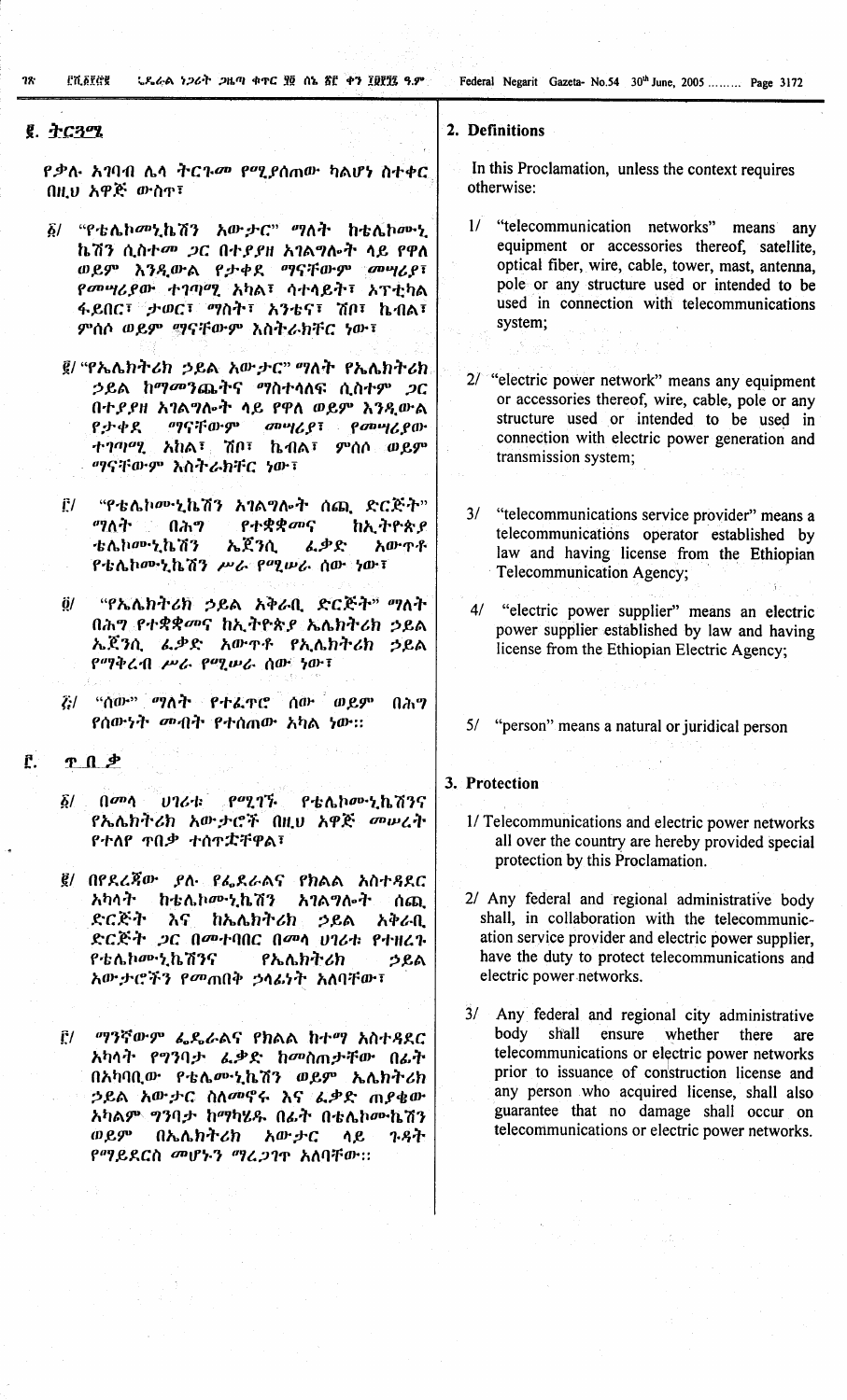**PY STEE 12.** 

<u>ህዲራል ነጋሪት ጋዜጣ ቁጥር ያ</u>፬ ሰኔ ሸሮ ቀን ፲፱፻፺፯ ዓ.ም

## g. ትርጓሜ

*የ*ቃሉ አገባብ ሌላ ትርጉ*መ* የሚያሰጠው ካልሆነ ስተቀር በዚህ አዋጅ ውስጥ፣

"የቴሌኮመኒኬሽን አውታር" ማለት ከቴሌኮሙኒ  $\delta$ / ኬሽን ሲስተመ ጋር በተያያዘ አገልግሎት ላይ የዋለ ወይም እንዲውል የታቀደ ማናቸውም መሣሪያ፣ የመሣሪያው ተገጣሚ አካል፣ ሳተሳይት፣ አፕቲካል ፋይበር፣ ታወር፣ ማስት፣ አንቴና፣ ሽቦ፣ ኬብል፣ ምሰሶ ወይም ማናቸውም እስትራክቸር ነው፤

፪/ "የኤሌክትሪክ ኃይል አውታር" ማለት የኤሌክትሪክ ኃይል ከማመንጨትና ማስተሳለፍ ሲስተም *ጋ*ር በተደደዘ አገልግሎት ላይ የዋለ ወይም እንዲውል ግባናቸውም መሣሪያ፣ የመሣሪያው የታቀደ ተገጣሚ አከል፣ ሽቦ፣ ኬብል፣ ምሰሶ ወይም ማናቸውም እስትራክቸር ነው፣

- "የቴሌኮሙኒኬሽን አገልግሎት ሰጪ ድርጅት"  $\mathbf{r}_l$ የተቋቋመና ማለት ነ  $0<sub>q</sub>$ ከኢትዮጵያ ቴሌኮሙኒኬሽን ኤጀንሲ ፌቃድ አውጥቶ የቴሌኮሙኒኬሽን ሥራ የሚሠራ ሰው ነው፣
- $\ddot{\mathbf{0}}$ "የኤሌክትሪክ ኃይል አቅራቢ ድርጅት" ማለት በሕግ የተቋቋመና ከኢትዮጵያ ኤሌክትሪክ ኃይል ኤጀንሲ ፌቃድ አውዋቶ የኢሴክትሪክ ኃይል የማቅረብ ሥራ የሚሠራ ሰው ነው፤
- ζ:/ "ሰው" ማለት የተፈ**ዋሮ ሰው ወይ**ም በሕግ የሰውነት መብት የተሰጠው አካል ነው።
- $\mathbf{r}$ . <u>r n +</u>
	- $\rho$ <sup> $q$ </sup> $q$  $\gamma$ <sup> $\gamma$ </sup>.  $\int d^{n} \theta$  $0764$  $\delta/$ **የቴሌ**ኮሙኒኬሽንና የኤሌክትሪክ አውታሮች በዚህ አዋጅ መሠረት የተለየ ዋበቃ ተሰዋቷቸዋል፣
	- ፪/ በየደረጃው ያለ የፌደራልና የክልል አስተዳደር አካላት ከቴሌኮሙኒኬሽን አገልግሎት ሰጪ ድርጅት አና <u>ከኤሌክትሪክ ኃይል</u> አቅራቢ ድርጅት ጋር በመተባበር በመሳ ሀገሪቱ የተዘረጉ የቴሌክሙኒኬሽንና **.የኤሌክትሪክ** ኃይል አውታሮችን የመጠበቅ ኃሳፊነት አለባቸው፣

*ግን*ኛውም ፌዴራልና የክልል ከተማ አስተዳደር  $\tilde{\Gamma}$ / አካላት የግንባታ ፌቃድ ከመስጠታቸው በፊት በአካባቢው የቴሌሙኒኬሽን ወይም ኤሌክትሪክ ኃይል አው*ታ*ር ስለመኖሩ እና ፌቃድ ጠያቄው አካልም ግንባታ ከማካሄዱ በፊት በቴሌኮሙኬሽን ወይም በኤሌክትሪክ አው ታር ሳይ **7.8ት** የማይደርስ መሆኑን ማረጋገጥ አለባቸው።

### 2. Definitions

In this Proclamation, unless the context requires otherwise:

 $1/\sqrt{2}$ "telecommunication networks" means any equipment or accessories thereof, satellite, optical fiber, wire, cable, tower, mast, antenna. pole or any structure used or intended to be used in connection with telecommunications system;

2/ "electric power network" means any equipment or accessories thereof, wire, cable, pole or any structure used or intended to be used in connection with electric power generation and transmission system;

- $3/$ "telecommunications service provider" means a telecommunications operator established by law and having license from the Ethiopian Telecommunication Agency;
- $4/$ "electric power supplier" means an electric power supplier established by law and having license from the Ethiopian Electric Agency;
- 5/ "person" means a natural or juridical person

#### 3. Protection

- 1/ Telecommunications and electric power networks all over the country are hereby provided special protection by this Proclamation.
- 2/ Any federal and regional administrative body shall, in collaboration with the telecommunication service provider and electric power supplier. have the duty to protect telecommunications and electric power networks.
- 3/ Any federal and regional city administrative body shall ensure whether there are telecommunications or electric power networks prior to issuance of construction license and any person who acquired license, shall also guarantee that no damage shall occur on telecommunications or electric power networks.